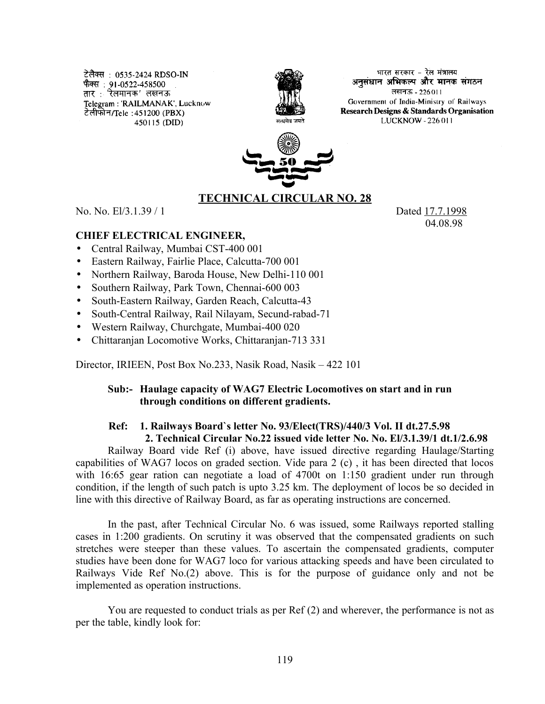टेलैक्स : 0535-2424 RDSO-IN फैक्स : 91-0522-458500 तार : 'रेलमानक' लखनऊ Telegram: 'RAILMANAK', Lucknow टेलीफोन/Tele : 451200 (PBX) 450115 (DID)



भारत सरकार - रेल मंत्रालय अनुसंधान अभिकल्प और मानक संगठन लखनऊ - 226011 Government of India-Ministry of Railways Research Designs & Standards Organisation LUCKNOW - 226 011



## **TECHNICAL CIRCULAR NO. 28**

No. No. El/3.1.39 / 1 Dated 17.7.1998

04.08.98

## **CHIEF ELECTRICAL ENGINEER,**

- Central Railway, Mumbai CST-400 001
- Eastern Railway, Fairlie Place, Calcutta-700 001
- Northern Railway, Baroda House, New Delhi-110 001
- Southern Railway, Park Town, Chennai-600 003
- South-Eastern Railway, Garden Reach, Calcutta-43
- South-Central Railway, Rail Nilayam, Secund-rabad-71
- Western Railway, Churchgate, Mumbai-400 020
- Chittaranjan Locomotive Works, Chittaranjan-713 331

Director, IRIEEN, Post Box No.233, Nasik Road, Nasik – 422 101

## **Sub:- Haulage capacity of WAG7 Electric Locomotives on start and in run through conditions on different gradients.**

## **Ref: 1. Railways Board`s letter No. 93/Elect(TRS)/440/3 Vol. II dt.27.5.98 2. Technical Circular No.22 issued vide letter No. No. El/3.1.39/1 dt.1/2.6.98**

Railway Board vide Ref (i) above, have issued directive regarding Haulage/Starting capabilities of WAG7 locos on graded section. Vide para 2 (c) , it has been directed that locos with 16:65 gear ration can negotiate a load of 4700t on 1:150 gradient under run through condition, if the length of such patch is upto 3.25 km. The deployment of locos be so decided in line with this directive of Railway Board, as far as operating instructions are concerned.

In the past, after Technical Circular No. 6 was issued, some Railways reported stalling cases in 1:200 gradients. On scrutiny it was observed that the compensated gradients on such stretches were steeper than these values. To ascertain the compensated gradients, computer studies have been done for WAG7 loco for various attacking speeds and have been circulated to Railways Vide Ref No.(2) above. This is for the purpose of guidance only and not be implemented as operation instructions.

You are requested to conduct trials as per Ref (2) and wherever, the performance is not as per the table, kindly look for: